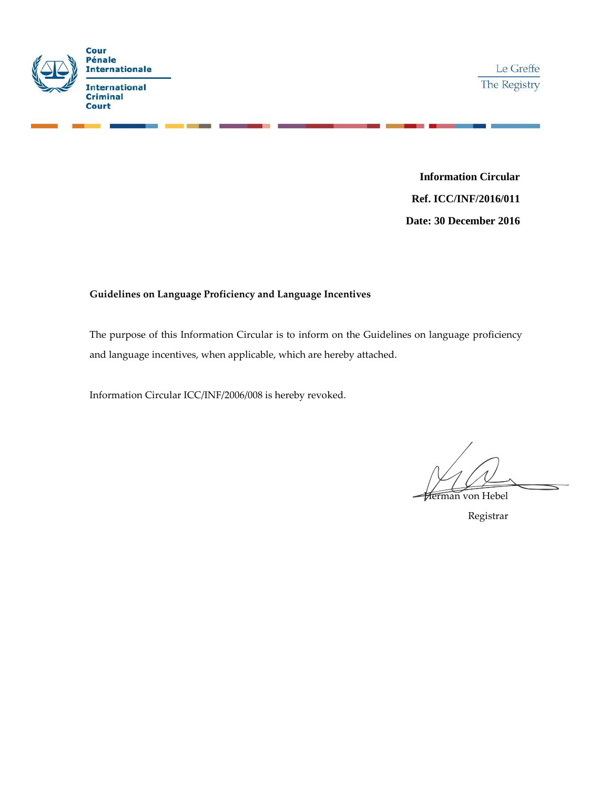

**Information Circular Ref. ICC/INF/2016/011 Date: 30 December 2016**

# **Guidelines on Language Proficiency and Language Incentives**

The purpose of this Information Circular is to inform on the Guidelines on language proficiency and language incentives, when applicable, which are hereby attached.

Information Circular ICC/INF/2006/008 is hereby revoked.

Herman von Hebel

Registrar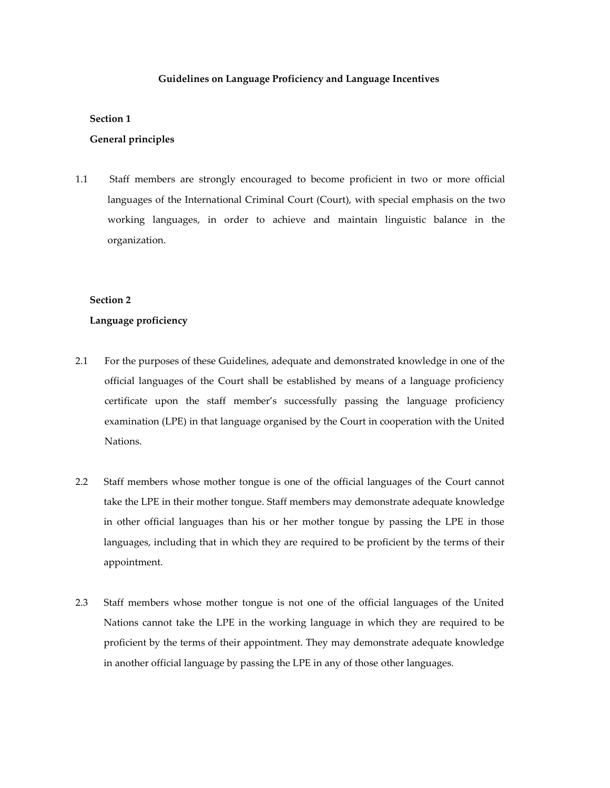### **Guidelines on Language Proficiency and Language Incentives**

#### **Section 1**

### **General principles**

1.1 Staff members are strongly encouraged to become proficient in two or more official languages of the International Criminal Court (Court), with special emphasis on the two working languages, in order to achieve and maintain linguistic balance in the organization.

### **Section 2**

### **Language proficiency**

- 2.1 For the purposes of these Guidelines, adequate and demonstrated knowledge in one of the official languages of the Court shall be established by means of a language proficiency certificate upon the staff member's successfully passing the language proficiency examination (LPE) in that language organised by the Court in cooperation with the United Nations.
- 2.2 Staff members whose mother tongue is one of the official languages of the Court cannot take the LPE in their mother tongue. Staff members may demonstrate adequate knowledge in other official languages than his or her mother tongue by passing the LPE in those languages, including that in which they are required to be proficient by the terms of their appointment.
- 2.3 Staff members whose mother tongue is not one of the official languages of the United Nations cannot take the LPE in the working language in which they are required to be proficient by the terms of their appointment. They may demonstrate adequate knowledge in another official language by passing the LPE in any of those other languages.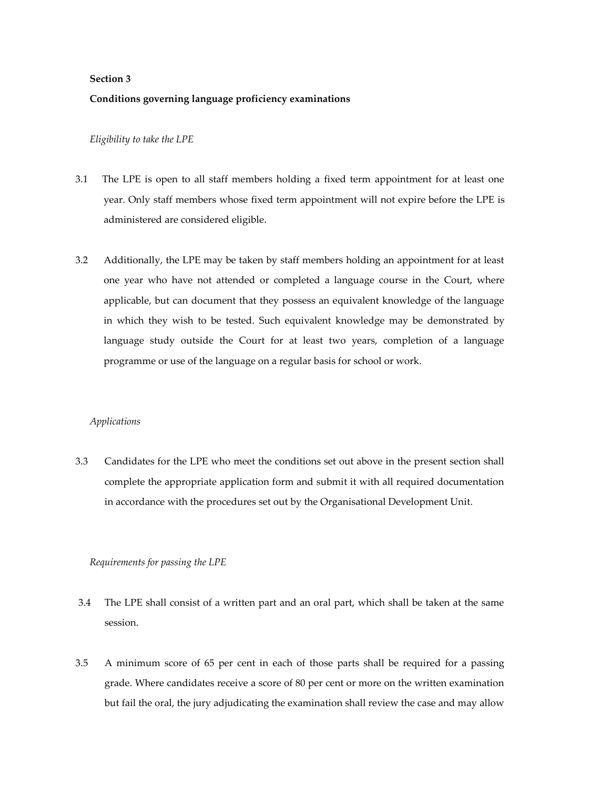## **Section 3**

# **Conditions governing language proficiency examinations**

#### *Eligibility to take the LPE*

- 3.1 The LPE is open to all staff members holding a fixed term appointment for at least one year. Only staff members whose fixed term appointment will not expire before the LPE is administered are considered eligible.
- 3.2 Additionally, the LPE may be taken by staff members holding an appointment for at least one year who have not attended or completed a language course in the Court, where applicable, but can document that they possess an equivalent knowledge of the language in which they wish to be tested. Such equivalent knowledge may be demonstrated by language study outside the Court for at least two years, completion of a language programme or use of the language on a regular basis for school or work.

### *Applications*

3.3 Candidates for the LPE who meet the conditions set out above in the present section shall complete the appropriate application form and submit it with all required documentation in accordance with the procedures set out by the Organisational Development Unit.

### *Requirements for passing the LPE*

- 3.4 The LPE shall consist of a written part and an oral part, which shall be taken at the same session.
- 3.5 A minimum score of 65 per cent in each of those parts shall be required for a passing grade. Where candidates receive a score of 80 per cent or more on the written examination but fail the oral, the jury adjudicating the examination shall review the case and may allow